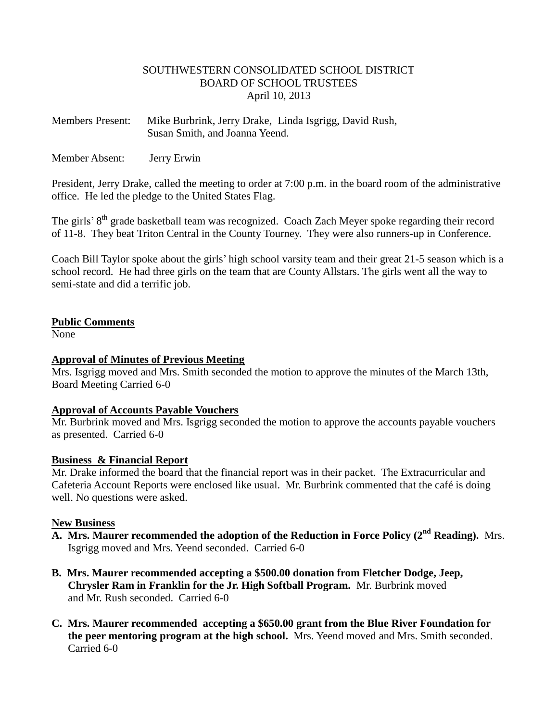### SOUTHWESTERN CONSOLIDATED SCHOOL DISTRICT BOARD OF SCHOOL TRUSTEES April 10, 2013

Members Present: Mike Burbrink, Jerry Drake, Linda Isgrigg, David Rush, Susan Smith, and Joanna Yeend.

Member Absent: Jerry Erwin

President, Jerry Drake, called the meeting to order at 7:00 p.m. in the board room of the administrative office. He led the pledge to the United States Flag.

The girls' 8<sup>th</sup> grade basketball team was recognized. Coach Zach Meyer spoke regarding their record of 11-8. They beat Triton Central in the County Tourney. They were also runners-up in Conference.

Coach Bill Taylor spoke about the girls' high school varsity team and their great 21-5 season which is a school record. He had three girls on the team that are County Allstars. The girls went all the way to semi-state and did a terrific job.

### **Public Comments**

None

## **Approval of Minutes of Previous Meeting**

Mrs. Isgrigg moved and Mrs. Smith seconded the motion to approve the minutes of the March 13th, Board Meeting Carried 6-0

### **Approval of Accounts Payable Vouchers**

Mr. Burbrink moved and Mrs. Isgrigg seconded the motion to approve the accounts payable vouchers as presented. Carried 6-0

### **Business & Financial Report**

Mr. Drake informed the board that the financial report was in their packet. The Extracurricular and Cafeteria Account Reports were enclosed like usual. Mr. Burbrink commented that the café is doing well. No questions were asked.

### **New Business**

- **A. Mrs. Maurer recommended the adoption of the Reduction in Force Policy (2nd Reading).** Mrs. Isgrigg moved and Mrs. Yeend seconded. Carried 6-0
- **B. Mrs. Maurer recommended accepting a \$500.00 donation from Fletcher Dodge, Jeep, Chrysler Ram in Franklin for the Jr. High Softball Program.** Mr. Burbrink moved and Mr. Rush seconded. Carried 6-0
- **C. Mrs. Maurer recommended accepting a \$650.00 grant from the Blue River Foundation for the peer mentoring program at the high school.** Mrs. Yeend moved and Mrs. Smith seconded. Carried 6-0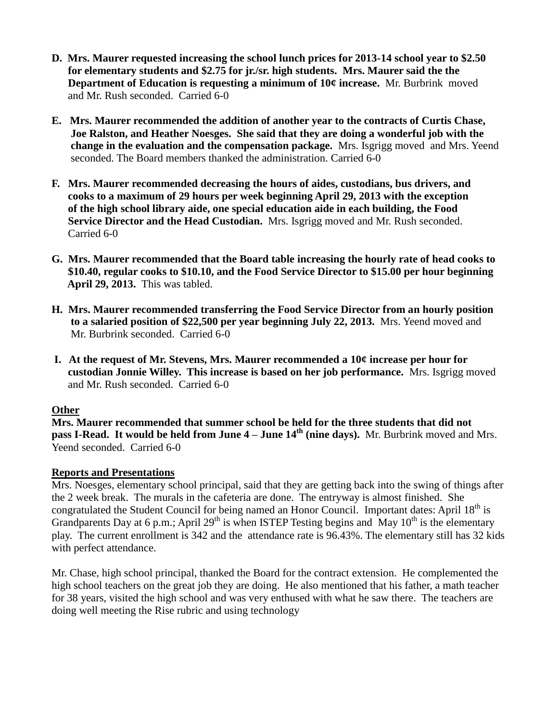- **D. Mrs. Maurer requested increasing the school lunch prices for 2013-14 school year to \$2.50 for elementary students and \$2.75 for jr./sr. high students. Mrs. Maurer said the the Department of Education is requesting a minimum of 10¢ increase.** Mr. Burbrink moved and Mr. Rush seconded. Carried 6-0
- **E. Mrs. Maurer recommended the addition of another year to the contracts of Curtis Chase, Joe Ralston, and Heather Noesges. She said that they are doing a wonderful job with the change in the evaluation and the compensation package.** Mrs. Isgrigg moved and Mrs. Yeend seconded. The Board members thanked the administration. Carried 6-0
- **F. Mrs. Maurer recommended decreasing the hours of aides, custodians, bus drivers, and cooks to a maximum of 29 hours per week beginning April 29, 2013 with the exception of the high school library aide, one special education aide in each building, the Food Service Director and the Head Custodian.** Mrs. Isgrigg moved and Mr. Rush seconded. Carried 6-0
- **G. Mrs. Maurer recommended that the Board table increasing the hourly rate of head cooks to \$10.40, regular cooks to \$10.10, and the Food Service Director to \$15.00 per hour beginning April 29, 2013.** This was tabled.
- **H. Mrs. Maurer recommended transferring the Food Service Director from an hourly position to a salaried position of \$22,500 per year beginning July 22, 2013.** Mrs. Yeend moved and Mr. Burbrink seconded. Carried 6-0
- **I. At the request of Mr. Stevens, Mrs. Maurer recommended a 10¢ increase per hour for custodian Jonnie Willey. This increase is based on her job performance.** Mrs. Isgrigg moved and Mr. Rush seconded. Carried 6-0

# **Other**

**Mrs. Maurer recommended that summer school be held for the three students that did not pass I-Read. It would be held from June 4 – June 14th (nine days).** Mr. Burbrink moved and Mrs. Yeend seconded. Carried 6-0

# **Reports and Presentations**

Mrs. Noesges, elementary school principal, said that they are getting back into the swing of things after the 2 week break. The murals in the cafeteria are done. The entryway is almost finished. She congratulated the Student Council for being named an Honor Council. Important dates: April 18<sup>th</sup> is Grandparents Day at 6 p.m.; April 29<sup>th</sup> is when ISTEP Testing begins and May 10<sup>th</sup> is the elementary play. The current enrollment is 342 and the attendance rate is 96.43%. The elementary still has 32 kids with perfect attendance.

Mr. Chase, high school principal, thanked the Board for the contract extension. He complemented the high school teachers on the great job they are doing. He also mentioned that his father, a math teacher for 38 years, visited the high school and was very enthused with what he saw there. The teachers are doing well meeting the Rise rubric and using technology